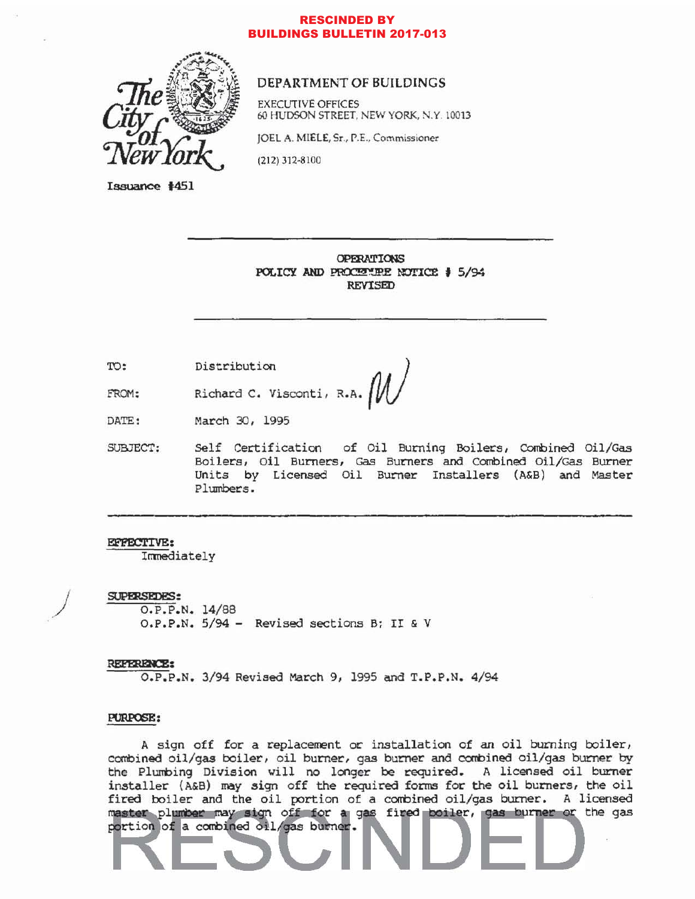### **RESCINDED BY BUILDINGS BULLETIN 2017-013**



### DEPARTMENT OF BUILDINGS

**EXECUTIVE OFFICES** 60 HUDSON STREET, NEW YORK, N.Y. 10013

JOEL A. MIELE, Sr., P.E., Commissioner

 $(212)$  312-8100

Issuance #451

**OPERATIONS** POLICY AND PROCENTRE NOTICE \$5/94 **REVISED** 

TO: Distribution

Richard C. Visconti, R.

DATE: March 30, 1995

Self Certification of Oil Burning Boilers, Combined Oil/Gas SUBJECT: Boilers, Oil Burners, Gas Burners and Combined Oil/Gas Burner Units by Licensed Oil Burner Installers (A&B) and Master Plumbers.

### EFFECTIVE:

FROM:

Immediately

**SUPERSEDES:** O.P.P.N. 14/88 O.P.P.N. 5/94 - Revised sections B; II & V

### REFERENCE:

O.P.P.N. 3/94 Revised March 9, 1995 and T.P.P.N. 4/94

### PURPOSE:

A sign off for a replacement or installation of an oil burning boiler, combined oil/gas boiler, oil burner, gas burner and combined oil/gas burner by the Plumbing Division will no longer be required. A licensed oil burner installer (A&B) may sign off the required forms for the oil burners, the oil fired boiler and the oil portion of a combined oil/gas burner. A licensed master plumber may sign off for a gas fired boiler, gas burner or the gas portion of a combined oil/gas burner.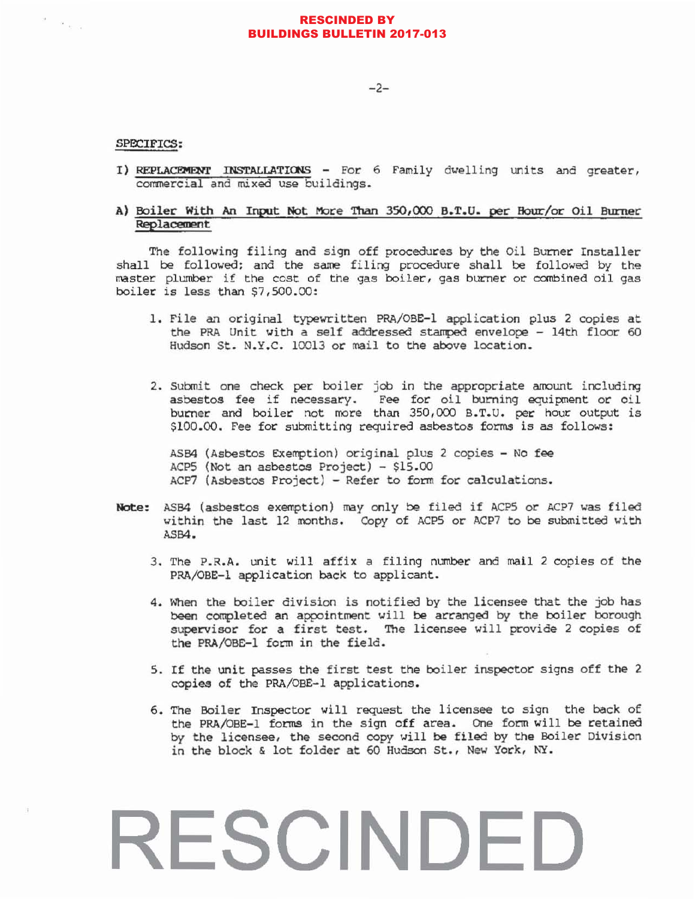### **RESCINDED BY BUILDINGS BULLETIN 2017-013**

 $-2-$ 

### SPECIFICS:

 $\theta = \alpha_{\rm{max}}$ 

I) REPLACEMENT INSTALLATIONS - For 6 Family dwelling units and greater, commercial and mixed use buildings.

### A) Boiler With An Input Not More Than 350,000 B.T.U. per Hour/or Oil Burner Replacement

The following filing and sign off procedures by the Oil Burner Installer shall be followed; and the same filing procedure shall be followed by the master plumber if the cost of the gas boiler, gas burner or combined oil gas boiler is less than \$7,500.00:

- 1. File an original typewritten PRA/OBE-1 application plus 2 copies at the PRA Unit with a self addressed stamped envelope - 14th floor 60 Hudson St. N.Y.C. 10013 or mail to the above location.
- 2. Submit one check per boiler job in the appropriate amount including asbestos fee if necessary. Fee for oil burning equipment or oil burner and boiler not more than 350,000 B.T.U. per hour output is \$100.00. Fee for submitting required asbestos forms is as follows:

ASB4 (Asbestos Exemption) original plus 2 copies - No fee ACP5 (Not an asbestos Project) - \$15.00 ACP7 (Asbestos Project) - Refer to form for calculations.

- Note: ASB4 (asbestos exemption) may only be filed if ACP5 or ACP7 was filed within the last 12 months. Copy of ACP5 or ACP7 to be submitted with ASB4.
	- 3. The P.R.A. unit will affix a filing number and mail 2 copies of the PRA/OBE-1 application back to applicant.
	- 4. When the boiler division is notified by the licensee that the job has been completed an appointment will be arranged by the boiler borough supervisor for a first test. The licensee will provide 2 copies of the PRA/OBE-1 form in the field.
	- 5. If the unit passes the first test the boiler inspector signs off the 2 copies of the PRA/OBE-1 applications.
	- 6. The Boiler Inspector will request the licensee to sign the back of the PRA/OBE-1 forms in the sign off area. One form will be retained by the licensee, the second copy will be filed by the Boiler Division in the block & lot folder at 60 Hudson St., New York, NY.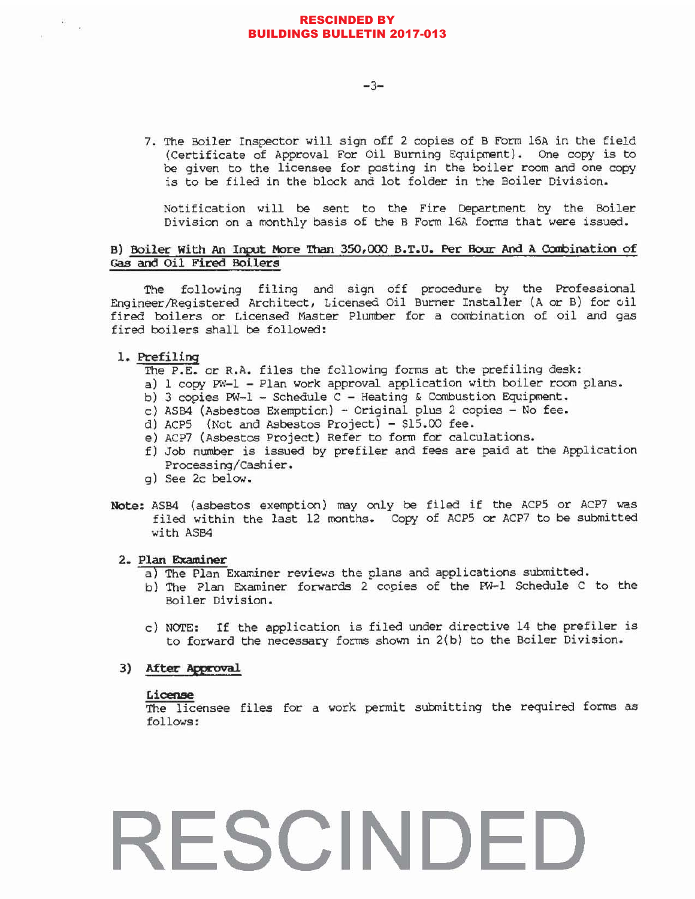### RESCINDED BY BUILDINGS BULLETIN 2017-013

7. The Boiler Inspector will sign off 2 copies of B Form 16A in the field (Certificate of Approval For oil Burning Equipment). One copy is to be given to the licensee for posting in the boiler room and one copy is to be tiled in the block and lot folder in the Boiler Division.

Notification will be sent to the Fire Department by the Boiler Division on a monthly basis of the B Form 16A forms that were issued.

### B) Boiler With An Input More Than 350,000 B.T.U. Per Bour And A Combination of Gas and Oil Fired Boilers

The following filing and sign off procedure by the Professional Engineer/Registered Architect, Licensed Oil Burner Installer (A or B) for  $\phi$ il fired boilers or Licensed Master Plumber for a combination of oil and gas fired boilers shall be followed:

### 1. Prefiling

- The P.E. or R.A. files the following forms at the prefiling desk:
- a) 1 copy PW-l Plan work approval application with boiler room plans.
- b) 3 copies PW-1 Schedule C Heating & Combustion Equipment.
- c) ASB4 (Asbestos Exemption) Original plus 2 copies No fee.
- d) ACP5 (Not and Asbestos Project) \$15.00 fee.
- e) Acp7 (Asbestos project) Refer to form for calculations.
- f) Job number is issued by prefiler and fees are paid at the Application Processing/Cashier.
- g) See 2c below.
- Note: ASB4 (asbestos exemption) may only be filed if the Acp5 or ACP7 was filed within the last 12 rronths. Copy of ACPS or ACP7 to be submitted with ASB4

### 2. Plan Examiner

- a) The Plan Examiner reviews the plans and applications submitted.
- b) The plan Examiner forwards 2 copies of the FW-I Schedule C to the Boiler Division.
- c) NOTE: If the application is filed under directive 14 the prefiler is to forward the necessary forms shown in 2(b) to the Boiler Division.

### 3) After Approval

### License

The licensee files for a work permit submitting the required forms as follows: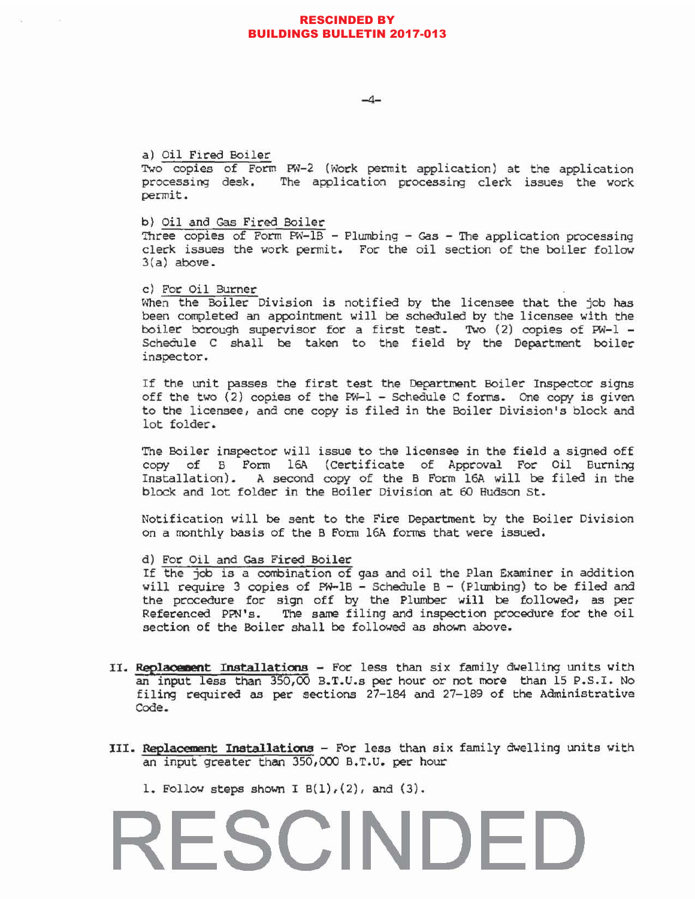### RESCINDED BY BUILDINGS BULLETIN 2017-013

 $-4-$ 

### a) oil Fired Boiler

Two copies of Form PW-2 (Work permit application) at the application processing desk. The application processing clerk issues the work permit.

b) Oil and Gas Fired Boiler

Three copies of Form  $PW-IB$  - Plumbing - Gas - The application processing clerk issues the work permit. For the oil section of the boiler follow 3(a) above.

### c) For Oil Burner

When the Boiler Division is notified by the licensee that the job has been completed an appointment will be scheduled by the licensee with the boiler borough supervisor for a first test. Two  $(2)$  copies of PW-l -Schedule C shall be taken to the field by the Department boiler inspector.

If the unit passes the first test the Department Boiler Inspector signs off the two (2) copies of the PW-l - Schedule C forms. One copy is given to the licensee, and one copy is filed in the Boiler Division's block and lot folder.

The Boiler inspector will issue to the licensee in the field a signed off copy of B Form 16A (Certificate of Approval For Oil Burning Installation). A second copy of the B Form 16A will be filed in the block and lot folder in the Boiler Division at 60 Hudson St.

Notification will be sent to the Fire Department by the Boiler Division On a monthly basis of the B Form 16A forms that were issued.

### d) For oil and Gas Fired Boiler

If the job is a combination of gas and oil the Plan Examiner in addition will require 3 copies of PW-1B - Schedule B - (Plumbing) to be filed and the procedure for sign off by the Plumber will be followed, as per Referenced PPN's. The same filing and inspection procedure for the oil section of the Boiler shall be followed as shown above.

- II. Replacement Installations For less than six family dwelling units with an input less than 350,00 B.T.U.s per hour or not more than 15 P.S.I. No filing required as per sections 27-184 and 27-189 of the Administrative Code.
- III. Replacement Installations For less than six family dwelling units with an input greater than 350,000 B.T.U. per hour
	- 1. Follow steps shown I  $B(1)$ ,  $(2)$ , and  $(3)$ .